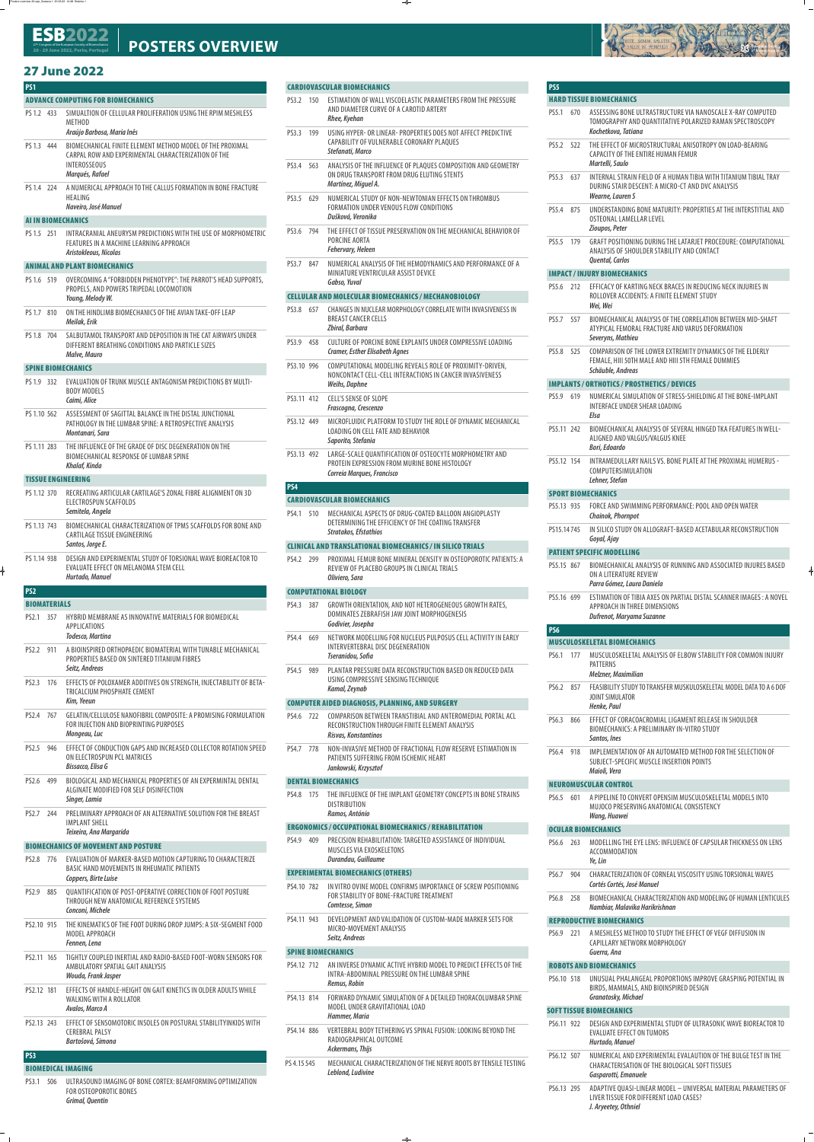#### 27 Congress of the European Society of Biomechanics<br>36 30 June 3033 Dente Denturnal **26 - 29 June 2022, P ort** 27<sup>th</sup> Congress of the European Society of Biomechanics<br>26 - 29 June 2022, Porto, Portugal POSTERS OVERVIEW

# **27 June 2022 27 June 2022**

# **PS1 ADVANCE COMPUTING FOR BIOMECHANICS**

- PS 1.2 433 SIMUALTION OF CELLULAR PROLIFERATION USING THE RPIM MESHLESS METHOD *Araújo Barbosa, Maria Inês*
	-
- PS 1.3 444 BIOMECHANICAL FINITE ELEMENT METHOD MODEL OF THE PROXIMAL CARPAL ROW AND EXPERIMENTAL CHARACTERIZATION OF THE INTEROSSEOUS *Marqués, Rafael*
	-
- PS 1.4 224 A NUMERICAL APPROACH TO THE CALLUS FORMATION IN BONE FRACTURE HEALING *Naveiro, José Manuel*

PS 1.6 519 OVERCOMING A "FORBIDDEN PHENOTYPE": THE PARROT'S HEAD SUPPORTS, PROPELS, AND POWERS TRIPEDAL LOCOMOTION *Young, Melody W.*

#### **AI IN BIOMECHANICS**

PS 1.5 251 INTRACRANIAL ANEURYSM PREDICTIONS WITH THE USE OF MORPHOMETRIC FEATURES IN A MACHINE LEARNING APPROACH *Aristokleous, Nicolas*

# **ANIMAL AND PLANT BIOMECHANICS**

- PS 1.7 810 ON THE HINDLIMB BIOMECHANICS OF THE AVIAN TAKE-OFF LEAP *Meilak, Erik*
- PS 1.8 704 SALBUTAMOL TRANSPORT AND DEPOSITION IN THE CAT AIRWAYS UNDER DIFFERENT BREATHING CONDITIONS AND PARTICLE SIZES *Malve, Mauro*

## **SPINE BIOMECHANICS**

- PS 1.9 332 EVALUATION OF TRUNK MUSCLE ANTAGONISM PREDICTIONS BY MULTI-BODY MODELS *Caimi, Alice*
- PS 1.10 562 ASSESSMENT OF SAGITTAL BALANCE IN THE DISTAL JUNCTIONAL PATHOLOGY IN THE LUMBAR SPINE: A RETROSPECTIVE ANALYSIS *Montanari, Sara*
- PS 1.11 283 THE INFLUENCE OF THE GRADE OF DISC DEGENERATION ON THE BIOMECHANICAL RESPONSE OF LUMBAR SPINE *Khalaf, Kinda*

# **TISSUE ENGINEERING**

- PS 1.12 370 RECREATING ARTICULAR CARTILAGE'S ZONAL FIBRE ALIGNMENT ON 3D ELECTROSPUN SCAFFOLDS *Semitela, Angela*
- PS 1.13 743 BIOMECHANICAL CHARACTERIZATION OF TPMS SCAFFOLDS FOR BONE AND CARTILAGE TISSUE ENGINEERING *Santos, Jorge E.*
- PS 1.14 938 DESIGN AND EXPERIMENTAL STUDY OF TORSIONAL WAVE BIOREACTOR TO EVALUATE EFFECT ON MELANOMA STEM CELL *Hurtado, Manuel*

# **BIOMATERIALS**

- PS2.1 357 HYBRID MEMBRANE AS INNOVATIVE MATERIALS FOR BIOMEDICAL APPLICATIONS *Todesco, Martina*
- PS2.2 911 A BIOINSPIRED ORTHOPAEDIC BIOMATERIAL WITH TUNABLE MECHANICAL PROPERTIES BASED ON SINTERED TITANIUM FIBRES *Seitz, Andreas*
- PS2.3 176 EFFECTS OF POLOXAMER ADDITIVES ON STRENGTH, INJECTABILITY OF BETA-TRICALCIUM PHOSPHATE CEMENT *Kim, Yeeun*
- PS2.4 767 GELATIN/CELLULOSE NANOFIBRIL COMPOSITE: A PROMISING FORMULATION FOR INJECTION AND BIOPRINTING PURPOSES *Mongeau, Luc*
- PS2.5 946 EFFECT OF CONDUCTION GAPS AND INCREASED COLLECTOR ROTATION SPEED ON ELECTROSPUN PCL MATRICES *Bissacco, Elisa G*
- PS2.6 499 BIOLOGICAL AND MECHANICAL PROPERTIES OF AN EXPERMINTAL DENTAL ALGINATE MODIFIED FOR SELF DISINFECTION *Singer, Lamia*
- PS2.7 244 PRELIMINARY APPROACH OF AN ALTERNATIVE SOLUTION FOR THE BREAST IMPLANT SHELL *Teixeira, Ana Margarida*

# **BIOMECHANICS OF MOVEMENT AND POSTURE**

- PS2.8 776 EVALUATION OF MARKER-BASED MOTION CAPTURING TO CHARACTERIZE BASIC HAND MOVEMENTS IN RHEUMATIC PATIENTS *Coppers, Birte Luise*
- PS2.9 885 QUANTIFICATION OF POST-OPERATIVE CORRECTION OF FOOT POSTURE

THROUGH NEW ANATOMICAL REFERENCE SYSTEMS *Conconi, Michele*

- PS2.10 915 THE KINEMATICS OF THE FOOT DURING DROP JUMPS: A SIX-SEGMENT FOOD MODEL APPROACH *Fennen, Lena*
- PS2.11 165 TIGHTLY COUPLED INERTIAL AND RADIO-BASED FOOT-WORN SENSORS FOR AMBULATORY SPATIAL GAIT ANALYSIS *Wouda, Frank Jasper*
- PS2.12 181 EFFECTS OF HANDLE-HEIGHT ON GAIT KINETICS IN OLDER ADULTS WHILE WALKING WITH A ROLLATOR *Avalos, Marco A*
- PS2.13 243 EFFECT OF SENSOMOTORIC INSOLES ON POSTURAL STABILITYINKIDS WITH CEREBRAL PALSY *Bartošová, Simona*

 **PS3** 

#### **BIOMEDICAL IMAGING**

PS3.1 506 ULTRASOUND IMAGING OF BONE CORTEX: BEAMFORMING OPTIMIZATION FOR OSTEOPOROTIC BONES *Grimal, Quentin*

# **CARDIOVASCULAR BIOMECHANICS**

- PS3.2 150 ESTIMATION OF WALL VISCOELASTIC PARAMETERS FROM THE PRESSURE AND DIAMETER CURVE OF A CAROTID ARTERY *Rhee, Kyehan*
- PS3.3 199 USING HYPER- OR LINEAR- PROPERTIES DOES NOT AFFECT PREDICTIVE CAPABILITY OF VULNERABLE CORONARY PLAQUES *Stefanati, Marco*
- PS3.4 563 ANALYSIS OF THE INFLUENCE OF PLAQUES COMPOSITION AND GEOMETRY ON DRUG TRANSPORT FROM DRUG ELUTING STENTS *Martínez, Miguel A.*
- PS3.5 629 NUMERICAL STUDY OF NON-NEWTONIAN EFFECTS ON THROMBUS FORMATION UNDER VENOUS FLOW CONDITIONS *Dušková, Veronika*
- PS3.6 794 THE EFFECT OF TISSUE PRESERVATION ON THE MECHANICAL BEHAVIOR OF PORCINE AORTA *Fehervary, Heleen*
- PS3.7 847 NUMERICAL ANALYSIS OF THE HEMODYNAMICS AND PERFORMANCE OF A MINIATURE VENTRICULAR ASSIST DEVICE *Gabso, Yuval*

#### **CELLULAR AND MOLECULAR BIOMECHANICS / MECHANOBIOLOGY**



- PS3.8 657 CHANGES IN NUCLEAR MORPHOLOGY CORRELATE WITH INVASIVENESS IN BREAST CANCER CELLS *Zbiral, Barbara*
- PS3.9 458 CULTURE OF PORCINE BONE EXPLANTS UNDER COMPRESSIVE LOADING *Cramer, Esther Elisabeth Agnes*
- PS3.10 996 COMPUTATIONAL MODELING REVEALS ROLE OF PROXIMITY-DRIVEN, NONCONTACT CELL-CELL INTERACTIONS IN CANCER INVASIVENESS *Weihs, Daphne*
- PS3.11 412 CELL'S SENSE OF SLOPE *Frascogna, Crescenzo*
- PS3.12 449 MICROFLUIDIC PLATFORM TO STUDY THE ROLE OF DYNAMIC MECHANICAL LOADING ON CELL FATE AND BEHAVIOR *Saporito, Stefania*
- PS3.13 492 LARGE-SCALE QUANTIFICATION OF OSTEOCYTE MORPHOMETRY AND PROTEIN EXPRESSION FROM MURINE BONE HISTOLOGY *Correia Marques, Francisco*

# **PS4**

#### **CARDIOVASCULAR BIOMECHANICS**

PS4.1 510 MECHANICAL ASPECTS OF DRUG-COATED BALLOON ANGIOPLASTY DETERMINING THE EFFICIENCY OF THE COATING TRANSFER *Stratakos, Efstathios*

# **CLINICAL AND TRANSLATIONAL BIOMECHANICS / IN SILICO TRIALS**

PS4.2 299 PROXIMAL FEMUR BONE MINERAL DENSITY IN OSTEOPOROTIC PATIENTS: A REVIEW OF PLACEBO GROUPS IN CLINICAL TRIALS *Oliviero, Sara*

# **COMPUTATIONAL BIOLOGY**

- PS4.3 387 GROWTH ORIENTATION, AND NOT HETEROGENEOUS GROWTH RATES, DOMINATES ZEBRAFISH JAW JOINT MORPHOGENESIS *Godivier, Josepha*
- PS4.4 669 NETWORK MODELLING FOR NUCLEUS PULPOSUS CELL ACTIVITY IN EARLY INTERVERTEBRAL DISC DEGENERATION *Tseranidou, Sofia*
- PS4.5 989 PLANTAR PRESSURE DATA RECONSTRUCTION BASED ON REDUCED DATA USING COMPRESSIVE SENSING TECHNIQUE *Kamal, Zeynab*

# **COMPUTER AIDED DIAGNOSIS, PLANNING, AND SURGERY**

- PS4.6 722 COMPARISON BETWEEN TRANSTIBIAL AND ANTEROMEDIAL PORTAL ACL RECONSTRUCTION THROUGH FINITE ELEMENT ANALYSIS *Risvas, Konstantinos*
- PS4.7 778 NON-INVASIVE METHOD OF FRACTIONAL FLOW RESERVE ESTIMATION IN PATIENTS SUFFERING FROM ISCHEMIC HEART *Jankowski, Krzysztof*

# **DENTAL BIOMECHANICS**

PS4.8 175 THE INFLUENCE OF THE IMPLANT GEOMETRY CONCEPTS IN BONE STRAINS **DISTRIBUTION** *Ramos, António*

# **ERGONOMICS / OCCUPATIONAL BIOMECHANICS / REHABILITATION**

PS4.9 409 PRECISION REHABILITATION: TARGETED ASSISTANCE OF INDIVIDUAL MUSCLES VIA EXOSKELETONS *Durandau, Guillaume*

# **EXPERIMENTAL BIOMECHANICS (OTHERS)**

PS4.10 782 IN VITRO OVINE MODEL CONFIRMS IMPORTANCE OF SCREW POSITIONING FOR STABILITY OF BONE-FRACTURE TREATMENT

*Comtesse, Simon*

PS4.11 943 DEVELOPMENT AND VALIDATION OF CUSTOM-MADE MARKER SETS FOR MICRO-MOVEMENT ANALYSIS *Seitz, Andreas*

#### **SPINE BIOMECHANICS**

- PS4.12 712 AN INVERSE DYNAMIC ACTIVE HYBRID MODEL TO PREDICT EFFECTS OF THE INTRA-ABDOMINAL PRESSURE ON THE LUMBAR SPINE *Remus, Robin*
- PS4.13 814 FORWARD DYNAMIC SIMULATION OF A DETAILED THORACOLUMBAR SPINE MODEL UNDER GRAVITATIONAL LOAD *Hammer, Maria*
- PS4.14 886 VERTEBRAL BODY TETHERING VS SPINAL FUSION: LOOKING BEYOND THE RADIOGRAPHICAL OUTCOME *Ackermans, Thijs*
- PS 4.15 545 MECHANICAL CHARACTERIZATION OF THE NERVE ROOTS BY TENSILE TESTING *Leblond, Ludivine*

| PS <sub>5</sub> |     |                                                                                                                                                  |
|-----------------|-----|--------------------------------------------------------------------------------------------------------------------------------------------------|
|                 |     | <b>HARD TISSUE BIOMECHANICS</b>                                                                                                                  |
| <b>PS5.1</b>    | 670 | ASSESSING BONE ULTRASTRUCTURE VIA NANOSCALE X-RAY COMPUTED<br>TOMOGRAPHY AND QUANTITATIVE POLARIZED RAMAN SPECTROSCOPY<br>Kochetkova, Tatiana    |
| <b>PS5.2</b>    | 522 | THE EFFECT OF MICROSTRUCTURAL ANISOTROPY ON LOAD-BEARING<br><b>CAPACITY OF THE ENTIRE HUMAN FEMUR</b><br><b>Martelli, Saulo</b>                  |
| <b>PS5.3</b>    | 637 | INTERNAL STRAIN FIELD OF A HUMAN TIBIA WITH TITANIUM TIBIAL TRAY<br>DURING STAIR DESCENT: A MICRO-CT AND DVC ANALYSIS<br><b>Wearne, Lauren S</b> |
| <b>PS5.4</b>    | 875 | UNDERSTANDING BONE MATURITY: PROPERTIES AT THE INTERSTITIAL AND<br>OSTEONAL LAMELLAR LEVEL<br><b>Zioupos, Peter</b>                              |
| <b>PS5.5</b>    | 179 | <b>GRAFT POSITIONING DURING THE LATARJET PROCEDURE: COMPUTATIONAL</b><br>ANALYSIS OF SHOULDER STABILITY AND CONTACT                              |

*Quental, Carlos*

#### **IMPACT / INJURY BIOMECHANICS**

PS5.6 212 EFFICACY OF KARTING NECK BRACES IN REDUCING NECK INJURIES IN ROLLOVER ACCIDENTS: A FINITE ELEMENT STUDY

#### *Wei, Wei*

- PS5.7 557 BIOMECHANICAL ANALYSIS OF THE CORRELATION BETWEEN MID-SHAFT ATYPICAL FEMORAL FRACTURE AND VARUS DEFORMATION *Severyns, Mathieu*
- PS5.8 525 COMPARISON OF THE LOWER EXTREMITY DYNAMICS OF THE ELDERLY FEMALE, HIII 50TH MALE AND HIII 5TH FEMALE DUMMIES *Schäuble, Andreas*

# **IMPLANTS / ORTHOTICS / PROSTHETICS / DEVICES**

- PS5.9 619 NUMERICAL SIMULATION OF STRESS-SHIELDING AT THE BONE-IMPLANT INTERFACE UNDER SHEAR LOADING *Elsa*
- PS5.11 242 BIOMECHANICAL ANALYSIS OF SEVERAL HINGED TKA FEATURES IN WELL-ALIGNED AND VALGUS/VALGUS KNEE *Bori, Edoardo*
- PS5.12 154 INTRAMEDULLARY NAILS VS. BONE PLATE AT THE PROXIMAL HUMERUS COMPUTERSIMULATION *Lehner, Stefan*

#### **SPORT BIOMECHANICS**

- PS5.13 935 FORCE AND SWIMMING PERFORMANCE: POOL AND OPEN WATER *Chainok, Phornpot*
- PS15.14 745 IN SILICO STUDY ON ALLOGRAFT-BASED ACETABULAR RECONSTRUCTION *Goyal, Ajay*

# **PATIENT SPECIFIC MODELLING**

PS5.15 867 BIOMECHANICAL ANALYSIS OF RUNNING AND ASSOCIATED INJURES BASED ON A LITERATURE REVIEW *Parra Gómez, Laura Daniela* 

APPROACH IN THREE DIMENSIONS *Dufrenot, Maryama Suzanne*

# **PS6**

#### **MUSCULOSKELETAL BIOMECHANICS**

PS6.1 177 MUSCULOSKELETAL ANALYSIS OF ELBOW STABILITY FOR COMMON INJURY PATTERNS

# *Melzner, Maximilian*

- PS6.2 857 FEASIBILITY STUDY TO TRANSFER MUSKULOSKELETAL MODEL DATA TO A 6 DOF JOINT SIMULATOR *Henke, Paul*
- PS6.3 866 EFFECT OF CORACOACROMIAL LIGAMENT RELEASE IN SHOULDER BIOMECHANICS: A PRELIMINARY IN-VITRO STUDY *Santos, Ines*
- PS6.4 918 IMPLEMENTATION OF AN AUTOMATED METHOD FOR THE SELECTION OF SUBJECT-SPECIFIC MUSCLE INSERTION POINTS *Maioli, Vera*

# **NEUROMUSCULAR CONTROL**

PS6.5 601 A PIPELINE TO CONVERT OPENSIM MUSCULOSKELETAL MODELS INTO MUJOCO PRESERVING ANATOMICAL CONSISTENCY *Wang, Huawei*

# **OCULAR BIOMECHANICS**

- PS6.6 263 MODELLING THE EYE LENS: INFLUENCE OF CAPSULAR THICKNESS ON LENS ACCOMMODATION *Ye, Lin*
- PS6.7 904 CHARACTERIZATION OF CORNEAL VISCOSITY USING TORSIONAL WAVES *Cortés Cortés, José Manuel*
- PS6.8 258 BIOMECHANICAL CHARACTERIZATION AND MODELING OF HUMAN LENTICULES

*Nambiar, Malavika Harikrishnan*

#### **REPRODUCTIVE BIOMECHANICS**

PS6.9 221 A MESHLESS METHOD TO STUDY THE EFFECT OF VEGF DIFFUSION IN CAPILLARY NETWORK MORPHOLOGY *Guerra, Ana*

#### **ROBOTS AND BIOMECHANICS**

PS6.10 518 UNUSUAL PHALANGEAL PROPORTIONS IMPROVE GRASPING POTENTIAL IN BIRDS, MAMMALS, AND BIOINSPIRED DESIGN *Granatosky, Michael*

#### **SOFT TISSUE BIOMECHANICS**

- PS6.11 922 DESIGN AND EXPERIMENTAL STUDY OF ULTRASONIC WAVE BIOREACTOR TO EVALUATE EFFECT ON TUMORS *Hurtado, Manuel*
- PS6.12 507 NUMERICAL AND EXPERIMENTAL EVALAUTION OF THE BULGE TEST IN THE CHARACTERISATION OF THE BIOLOGICAL SOFT TISSUES *Gasparotti, Emanuele*
- PS6.13 295 ADAPTIVE QUASI-LINEAR MODEL UNIVERSAL MATERIAL PARAMETERS OF LIVER TISSUE FOR DIFFERENT LOAD CASES? *J. Aryeetey, Othniel*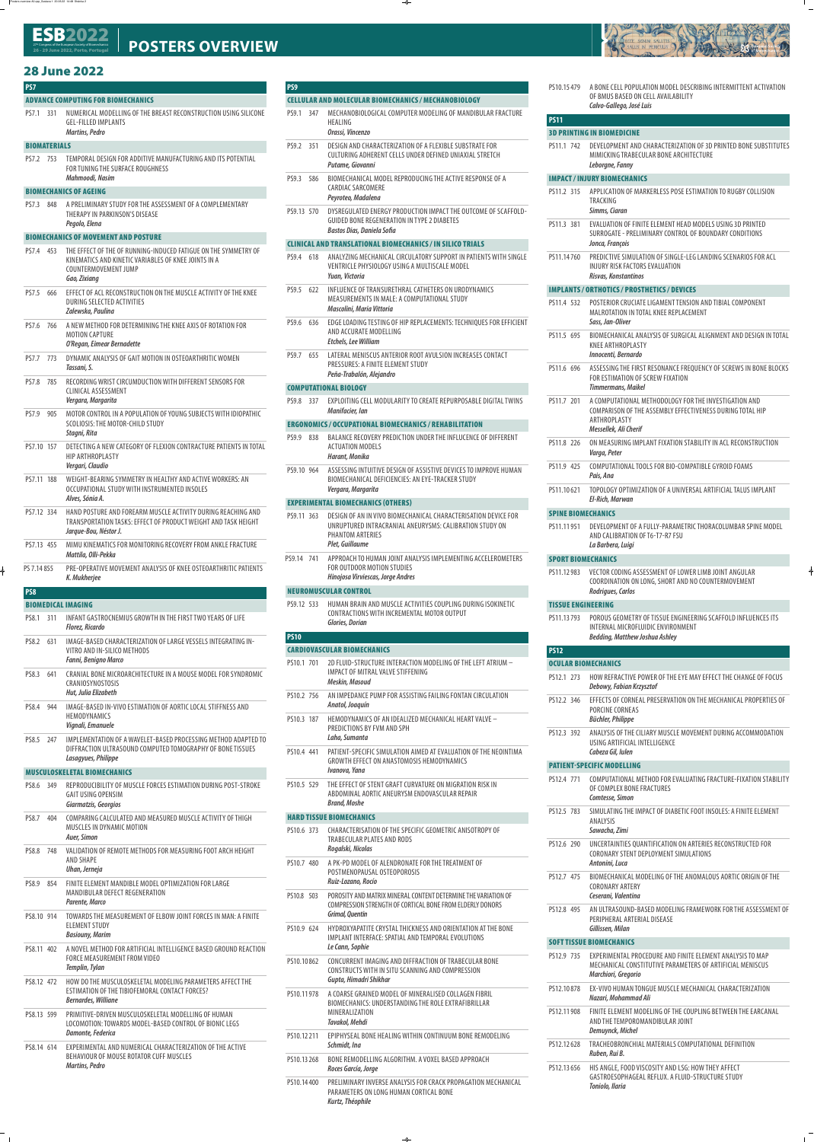**PS7** 

# **ADVANCE COMPUTING FOR BIOMECHANICS**

PS7.1 331 NUMERICAL MODELLING OF THE BREAST RECONSTRUCTION USING SILICONE GEL-FILLED IMPLANTS *Martins, Pedro*

# **BIOMATERIALS**

PS7.2 753 TEMPORAL DESIGN FOR ADDITIVE MANUFACTURING AND ITS POTENTIAL FOR TUNING THE SURFACE ROUGHNESS *Mahmoodi, Nasim*

# **BIOMECHANICS OF AGEING**

PS7.3 848 A PRELIMINARY STUDY FOR THE ASSESSMENT OF A COMPLEMENTARY THERAPY IN PARKINSON'S DISEASE *Pegolo, Elena*

# **BIOMECHANICS OF MOVEMENT AND POSTURE**

- PS7.4 453 THE EFFECT OF THE OF RUNNING-INDUCED FATIGUE ON THE SYMMETRY OF KINEMATICS AND KINETIC VARIABLES OF KNEE JOINTS IN A COUNTERMOVEMENT JUMP *Gao, Zixiang*
- PS7.5 666 EFFECT OF ACL RECONSTRUCTION ON THE MUSCLE ACTIVITY OF THE KNEE

DURING SELECTED ACTIVITIES *Zalewska, Paulina*

- PS7.6 766 A NEW METHOD FOR DETERMINING THE KNEE AXIS OF ROTATION FOR MOTION CAPTURE *O'Regan, Eimear Bernadette*
- PS7.7 773 DYNAMIC ANALYSIS OF GAIT MOTION IN OSTEOARTHRITIC WOMEN *Tassani, S.*
- PS7.8 785 RECORDING WRIST CIRCUMDUCTION WITH DIFFERENT SENSORS FOR CLINICAL ASSESSMENT *Vergara, Margarita*
- PS7.9 905 MOTOR CONTROL IN A POPULATION OF YOUNG SUBJECTS WITH IDIOPATHIC SCOLIOSIS: THE MOTOR-CHILD STUDY *Stagni, Rita*
- PS7.10 157 DETECTING A NEW CATEGORY OF FLEXION CONTRACTURE PATIENTS IN TOTAL HIP ARTHROPLASTY *Vergari, Claudio*
- PS7.11 188 WEIGHT-BEARING SYMMETRY IN HEALTHY AND ACTIVE WORKERS: AN OCCUPATIONAL STUDY WITH INSTRUMENTED INSOLES *Alves, Sónia A.*
- PS7.12 334 HAND POSTURE AND FOREARM MUSCLE ACTIVITY DURING REACHING AND TRANSPORTATION TASKS: EFFECT OF PRODUCT WEIGHT AND TASK HEIGHT *Jarque-Bou, Néstor J.*
- PS7.13 455 MIMU KINEMATICS FOR MONITORING RECOVERY FROM ANKLE FRACTURE *Mattila, Olli-Pekka*
- PS 7.14 855 PRE-OPERATIVE MOVEMENT ANALYSIS OF KNEE OSTEOARTHRITIC PATIENTS *K. Mukherjee*

 **PS8** 

# **BIOMEDICAL IMAGING**

- PS8.1 311 INFANT GASTROCNEMIUS GROWTH IN THE FIRST TWO YEARS OF LIFE *Florez, Ricardo*
- PS8.2 631 IMAGE-BASED CHARACTERIZATION OF LARGE VESSELS INTEGRATING IN-VITRO AND IN-SILICO METHODS *Fanni, Benigno Marco*
- PS8.3 641 CRANIAL BONE MICROARCHITECTURE IN A MOUSE MODEL FOR SYNDROMIC CRANIOSYNOSTOSIS *Hut, Julia Elizabeth*
- PS8.4 944 IMAGE-BASED IN-VIVO ESTIMATION OF AORTIC LOCAL STIFFNESS AND **HEMODYNAMICS** *Vignali, Emanuele*
- PS8.5 247 IMPLEMENTATION OF A WAVELET-BASED PROCESSING METHOD ADAPTED TO DIFFRACTION ULTRASOUND COMPUTED TOMOGRAPHY OF BONE TISSUES *Lasagyues, Philippe*

# **MUSCULOSKELETAL BIOMECHANICS**

- PS8.6 349 REPRODUCIBILITY OF MUSCLE FORCES ESTIMATION DURING POST-STROKE GAIT USING OPENSIM *Giarmatzis, Georgios*
- PS8.7 404 COMPARING CALCULATED AND MEASURED MUSCLE ACTIVITY OF THIGH MUSCLES IN DYNAMIC MOTION *Auer, Simon*
- PS8.8 748 VALIDATION OF REMOTE METHODS FOR MEASURING FOOT ARCH HEIGHT AND SHAPE *Uhan, Jerneja*
- PS8.9 854 FINITE ELEMENT MANDIBLE MODEL OPTIMIZATION FOR LARGE MANDIBULAR DEFECT REGENERATION

*Parente, Marco*

- PS8.10 914 TOWARDS THE MEASUREMENT OF ELBOW JOINT FORCES IN MAN: A FINITE ELEMENT STUDY *Basiouny, Marim*
- PS8.11 402 A NOVEL METHOD FOR ARTIFICIAL INTELLIGENCE BASED GROUND REACTION FORCE MEASUREMENT FROM VIDEO *Templin, Tylan*
- PS8.12 472 HOW DO THE MUSCULOSKELETAL MODELING PARAMETERS AFFECT THE ESTIMATION OF THE TIBIOFEMORAL CONTACT FORCES? *Bernardes, Williane*
- PS8.13 599 PRIMITIVE-DRIVEN MUSCULOSKELETAL MODELLING OF HUMAN LOCOMOTION: TOWARDS MODEL-BASED CONTROL OF BIONIC LEGS *Damonte, Federica*
- PS8.14 614 EXPERIMENTAL AND NUMERICAL CHARACTERIZATION OF THE ACTIVE BEHAVIOUR OF MOUSE ROTATOR CUFF MUSCLES *Martins, Pedro*

 **PS9** 

# **CELLULAR AND MOLECULAR BIOMECHANICS / MECHANOBIOLOGY**

PS9.1 347 MECHANOBIOLOGICAL COMPUTER MODELING OF MANDIBULAR FRACTURE HEALING

# *Orassi, Vincenzo*

- PS9.2 351 DESIGN AND CHARACTERIZATION OF A FLEXIBLE SUBSTRATE FOR CULTURING ADHERENT CELLS UNDER DEFINED UNIAXIAL STRETCH *Putame, Giovanni*
- PS9.3 586 BIOMECHANICAL MODEL REPRODUCING THE ACTIVE RESPONSE OF A CARDIAC SARCOMERE *Peyroteo, Madalena*
- PS9.13 570 DYSREGULATED ENERGY PRODUCTION IMPACT THE OUTCOME OF SCAFFOLD-GUIDED BONE REGENERATION IN TYPE 2 DIABETES *Bastos Dias, Daniela Sofia*

# **CLINICAL AND TRANSLATIONAL BIOMECHANICS / IN SILICO TRIALS**

- PS9.4 618 ANALYZING MECHANICAL CIRCULATORY SUPPORT IN PATIENTS WITH SINGLE VENTRICLE PHYSIOLOGY USING A MULTISCALE MODEL *Yuan, Victoria*
- PS9.5 622 INFLUENCE OF TRANSURETHRAL CATHETERS ON URODYNAMICS MEASUREMENTS IN MALE: A COMPUTATIONAL STUDY



*Mascolini, Maria Vittoria*

- PS9.6 636 EDGE LOADING TESTING OF HIP REPLACEMENTS: TECHNIQUES FOR EFFICIENT AND ACCURATE MODELLING *Etchels, Lee William*
- PS9.7 655 LATERAL MENISCUS ANTERIOR ROOT AVULSION INCREASES CONTACT PRESSURES: A FINITE ELEMENT STUDY *Peña-Trabalón, Alejandro*

# **COMPUTATIONAL BIOLOGY**

PS9.8 337 EXPLOITING CELL MODULARITY TO CREATE REPURPOSABLE DIGITAL TWINS *Manifacier, Ian*

# **ERGONOMICS / OCCUPATIONAL BIOMECHANICS / REHABILITATION**

- PS9.9 838 BALANCE RECOVERY PREDICTION UNDER THE INFLUCENCE OF DIFFERENT ACTUATION MODELS *Harant, Monika*
- PS9.10 964 ASSESSING INTUITIVE DESIGN OF ASSISTIVE DEVICES TO IMPROVE HUMAN BIOMECHANICAL DEFICIENCIES: AN EYE-TRACKER STUDY *Vergara, Margarita*

# **EXPERIMENTAL BIOMECHANICS (OTHERS)**

- PS9.11 363 DESIGN OF AN IN VIVO BIOMECHANICAL CHARACTERISATION DEVICE FOR UNRUPTURED INTRACRANIAL ANEURYSMS: CALIBRATION STUDY ON PHANTOM ARTERIES *Plet, Guillaume*
- PS9.14 741 APPROACH TO HUMAN JOINT ANALYSIS IMPLEMENTING ACCELEROMETERS FOR OUTDOOR MOTION STUDIES *Hinojosa Virviescas, Jorge Andres*

# **NEUROMUSCULAR CONTROL**

PS9.12 533 HUMAN BRAIN AND MUSCLE ACTIVITIES COUPLING DURING ISOKINETIC CONTRACTIONS WITH INCREMENTAL MOTOR OUTPUT *Glories, Dorian*

# **PS10**

# **CARDIOVASCULAR BIOMECHANICS**

- PS10.1 701 2D FLUID-STRUCTURE INTERACTION MODELING OF THE LEFT ATRIUM IMPACT OF MITRAL VALVE STIFFENING *Meskin, Masoud*
- PS10.2 756 AN IMPEDANCE PUMP FOR ASSISTING FAILING FONTAN CIRCULATION *Anatol, Joaquín*
- PS10.3 187 HEMODYNAMICS OF AN IDEALIZED MECHANICAL HEART VALVE PREDICTIONS BY FVM AND SPH *Laha, Sumanta*
- PS10.4 441 PATIENT-SPECIFIC SIMULATION AIMED AT EVALUATION OF THE NEOINTIMA GROWTH EFFECT ON ANASTOMOSIS HEMODYNAMICS *Ivanova, Yana*
- PS10.5 529 THE EFFECT OF STENT GRAFT CURVATURE ON MIGRATION RISK IN ABDOMINAL AORTIC ANEURYSM ENDOVASCULAR REPAIR *Brand, Moshe*

# **HARD TISSUE BIOMECHANICS**

- PS10.6 373 CHARACTERISATION OF THE SPECIFIC GEOMETRIC ANISOTROPY OF TRABECULAR PLATES AND RODS *Rogalski, Nicolas*
- PS10.7 480 A PK-PD MODEL OF ALENDRONATE FOR THE TREATMENT OF POSTMENOPAUSAL OSTEOPOROSIS *Ruiz-Lozano, Rocío*
- PS10.8 503 POROSITY AND MATRIX MINERAL CONTENT DETERMINE THE VARIATION OF

COMPRESSION STRENGTH OF CORTICAL BONE FROM ELDERLY DONORS *Grimal, Quentin*

- PS10.9 624 HYDROXYAPATITE CRYSTAL THICKNESS AND ORIENTATION AT THE BONE IMPLANT INTERFACE: SPATIAL AND TEMPORAL EVOLUTIONS *Le Cann, Sophie*
- PS10.10 862 CONCURRENT IMAGING AND DIFFRACTION OF TRABECULAR BONE CONSTRUCTS WITH IN SITU SCANNING AND COMPRESSION *Gupta, Himadri Shikhar*
- PS10.11 978 A COARSE GRAINED MODEL OF MINERALISED COLLAGEN FIBRIL BIOMECHANICS: UNDERSTANDING THE ROLE EXTRAFIBRILLAR MINERALIZATION *Tavakol, Mehdi*
- PS10.12 211 EPIPHYSEAL BONE HEALING WITHIN CONTINUUM BONE REMODELING *Schmidt, Ina*
- PS10.13 268 BONE REMODELLING ALGORITHM. A VOXEL BASED APPROACH *Roces García, Jorge*
- PS10.14 400 PRELIMINARY INVERSE ANALYSIS FOR CRACK PROPAGATION MECHANICAL PARAMETERS ON LONG HUMAN CORTICAL BONE *Kurtz, Théophile*

PS10.15 479 A BONE CELL POPULATION MODEL DESCRIBING INTERMITTENT ACTIVATION OF BMUS BASED ON CELL AVAILABILITY *Calvo-Gallego, José Luis*

# **PS11**

#### **3D PRINTING IN BIOMEDICINE**

PS11.1 742 DEVELOPMENT AND CHARACTERIZATION OF 3D PRINTED BONE SUBSTITUTES MIMICKING TRABECULAR BONE ARCHITECTURE *Leborgne, Fanny*

# **IMPACT / INJURY BIOMECHANICS**

PS11.2 315 APPLICATION OF MARKERLESS POSE ESTIMATION TO RUGBY COLLISION TRACKING

#### *Simms, Ciaran*

- PS11.3 381 EVALUATION OF FINITE ELEMENT HEAD MODELS USING 3D PRINTED SURROGATE - PRELIMINARY CONTROL OF BOUNDARY CONDITIONS *Jonca, François*
- PS11.14 760 PREDICTIVE SIMULATION OF SINGLE-LEG LANDING SCENARIOS FOR ACL INJURY RISK FACTORS EVALUATION *Risvas, Konstantinos*

# **IMPLANTS / ORTHOTICS / PROSTHETICS / DEVICES**

- PS11.4 532 POSTERIOR CRUCIATE LIGAMENT TENSION AND TIBIAL COMPONENT MALROTATION IN TOTAL KNEE REPLACEMENT *Sass, Jan-Oliver*
- PS11.5 695 BIOMECHANICAL ANALYSIS OF SURGICAL ALIGNMENT AND DESIGN IN TOTAL KNEE ARTHROPLASTY *Innocenti, Bernardo*
- PS11.6 696 ASSESSING THE FIRST RESONANCE FREQUENCY OF SCREWS IN BONE BLOCKS FOR ESTIMATION OF SCREW FIXATION *Timmermans, Maikel*
- PS11.7 201 A COMPUTATIONAL METHODOLOGY FOR THE INVESTIGATION AND COMPARISON OF THE ASSEMBLY EFFECTIVENESS DURING TOTAL HIP ARTHROPLASTY *Messellek, Ali Cherif*
- PS11.8 226 ON MEASURING IMPLANT FIXATION STABILITY IN ACL RECONSTRUCTION *Varga, Peter*
- PS11.9 425 COMPUTATIONAL TOOLS FOR BIO-COMPATIBLE GYROID FOAMS *Pais, Ana*
- PS11.10 621 TOPOLOGY OPTIMIZATION OF A UNIVERSAL ARTIFICIAL TALUS IMPLANT *El-Rich, Marwan*

# **SPINE BIOMECHANICS**

PS11.11 951 DEVELOPMENT OF A FULLY-PARAMETRIC THORACOLUMBAR SPINE MODEL AND CALIBRATION OF T6-T7-R7 FSU *La Barbera, Luigi*

#### **SPORT BIOMECHANICS**

PS11.12 983 VECTOR CODING ASSESSMENT OF LOWER LIMB JOINT ANGULAR COORDINATION ON LONG, SHORT AND NO COUNTERMOVEMENT *Rodrigues, Carlos*

#### **TISSUE ENGINEERING**

PS11.13 793 POROUS GEOMETRY OF TISSUE ENGINEERING SCAFFOLD INFLUENCES ITS INTERNAL MICROFLUIDIC ENVIRONMENT *Bedding, Matthew Joshua Ashley*

# **PS12**

#### **OCULAR BIOMECHANICS**

- PS12.1 273 HOW REFRACTIVE POWER OF THE EYE MAY EFFECT THE CHANGE OF FOCUS *Debowy, Fabian Krzysztof*
- PS12.2 346 EFFECTS OF CORNEAL PRESERVATION ON THE MECHANICAL PROPERTIES OF PORCINE CORNEAS *Büchler, Philippe*
- PS12.3 392 ANALYSIS OF THE CILIARY MUSCLE MOVEMENT DURING ACCOMMODATION USING ARTIFICIAL INTELLIGENCE *Cabeza Gil, Iulen*

### **PATIENT-SPECIFIC MODELLING**

- PS12.4 771 COMPUTATIONAL METHOD FOR EVALUATING FRACTURE-FIXATION STABILITY OF COMPLEX BONE FRACTURES *Comtesse, Simon*
- PS12.5 783 SIMULATING THE IMPACT OF DIABETIC FOOT INSOLES: A FINITE ELEMENT ANALYSIS

#### *Sawacha, Zimi*

- PS12.6 290 UNCERTAINTIES QUANTIFICATION ON ARTERIES RECONSTRUCTED FOR CORONARY STENT DEPLOYMENT SIMULATIONS *Antonini, Luca*
- PS12.7 475 BIOMECHANICAL MODELING OF THE ANOMALOUS AORTIC ORIGIN OF THE CORONARY ARTERY *Ceserani, Valentina*

PS12.8 495 AN ULTRASOUND-BASED MODELING FRAMEWORK FOR THE ASSESSMENT OF PERIPHERAL ARTERIAL DISEASE *Gillissen, Milan*

#### **SOFT TISSUE BIOMECHANICS**

- PS12.9 735 EXPERIMENTAL PROCEDURE AND FINITE ELEMENT ANALYSIS TO MAP MECHANICAL CONSTITUTIVE PARAMETERS OF ARTIFICIAL MENISCUS *Marchiori, Gregorio*
- PS12.10 878 EX-VIVO HUMAN TONGUE MUSCLE MECHANICAL CHARACTERIZATION *Nazari, Mohammad Ali*
- PS12.11 908 FINITE ELEMENT MODELING OF THE COUPLING BETWEEN THE EARCANAL AND THE TEMPOROMANDIBULAR JOINT *Demuynck, Michel*
- PS12.12 628 TRACHEOBRONCHIAL MATERIALS COMPUTATIONAL DEFINITION *Ruben, Rui B.*
- PS12.13 656 HIS ANGLE, FOOD VISCOSITY AND LSG: HOW THEY AFFECT GASTROESOPHAGEAL REFLUX. A FLUID-STRUCTURE STUDY *Toniolo, Ilaria*

#### 27 Congress of the European Society of Biomechanics<br>36 30 June 3033 Dente Denturnal **26 - 29 June 2022, P ort** 27<sup>th</sup> Congress of the European Society of Biomechanics<br>26 - 29 June 2022, Porto, Portugal **POSTERS OVERVIEW**

# **28 June 2022 28 June 2022**